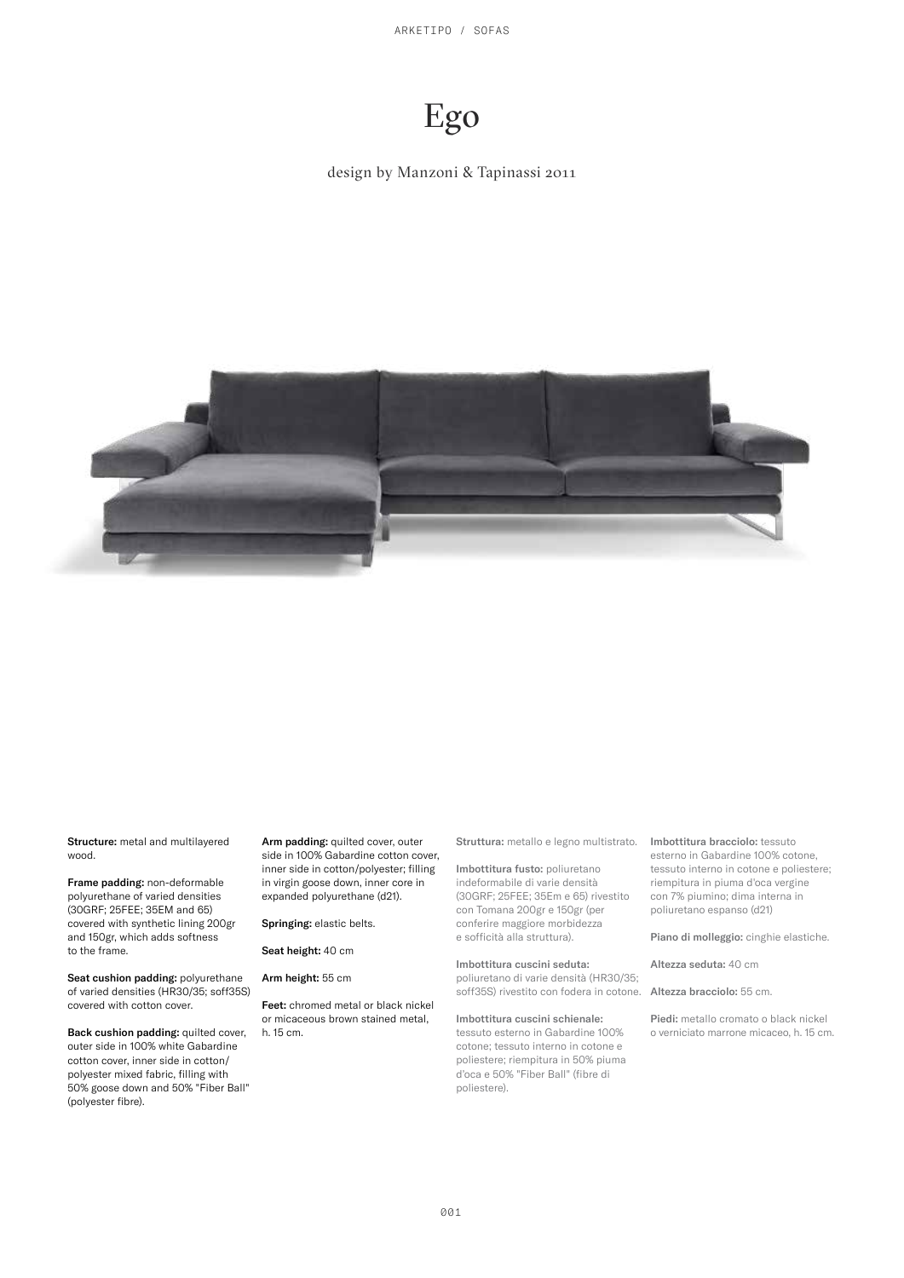ARKETIPO / SOFAS

# Ego

#### design by Manzoni & Tapinassi 2011



Structure: metal and multilayered wood.

Frame padding: non-deformable polyurethane of varied densities (30GRF; 25FEE; 35EM and 65) covered with synthetic lining 200gr and 150gr, which adds softness to the frame.

Seat cushion padding: polyurethane of varied densities (HR30/35; soff35S) covered with cotton cover.

Back cushion padding: quilted cover, outer side in 100% white Gabardine cotton cover, inner side in cotton/ polyester mixed fabric, filling with 50% goose down and 50% "Fiber Ball" (polyester fibre).

Arm padding: quilted cover, outer side in 100% Gabardine cotton cover, inner side in cotton/polyester; filling in virgin goose down, inner core in expanded polyurethane (d21).

Springing: elastic belts.

Seat height: 40 cm

Arm height: 55 cm

Feet: chromed metal or black nickel or micaceous brown stained metal, h. 15 cm.

Struttura: metallo e legno multistrato.

Imbottitura fusto: poliuretano indeformabile di varie densità (30GRF; 25FEE; 35Em e 65) rivestito con Tomana 200gr e 150gr (per conferire maggiore morbidezza e sofficità alla struttura).

Imbottitura cuscini seduta:

poliuretano di varie densità (HR30/35; soff35S) rivestito con fodera in cotone.

Imbottitura cuscini schienale:

tessuto esterno in Gabardine 100% cotone; tessuto interno in cotone e poliestere; riempitura in 50% piuma d'oca e 50% "Fiber Ball" (fibre di poliestere).

Imbottitura bracciolo: tessuto esterno in Gabardine 100% cotone, tessuto interno in cotone e poliestere; riempitura in piuma d'oca vergine con 7% piumino; dima interna in poliuretano espanso (d21)

Piano di molleggio: cinghie elastiche.

Altezza seduta: 40 cm

Altezza bracciolo: 55 cm.

Piedi: metallo cromato o black nickel o verniciato marrone micaceo, h. 15 cm.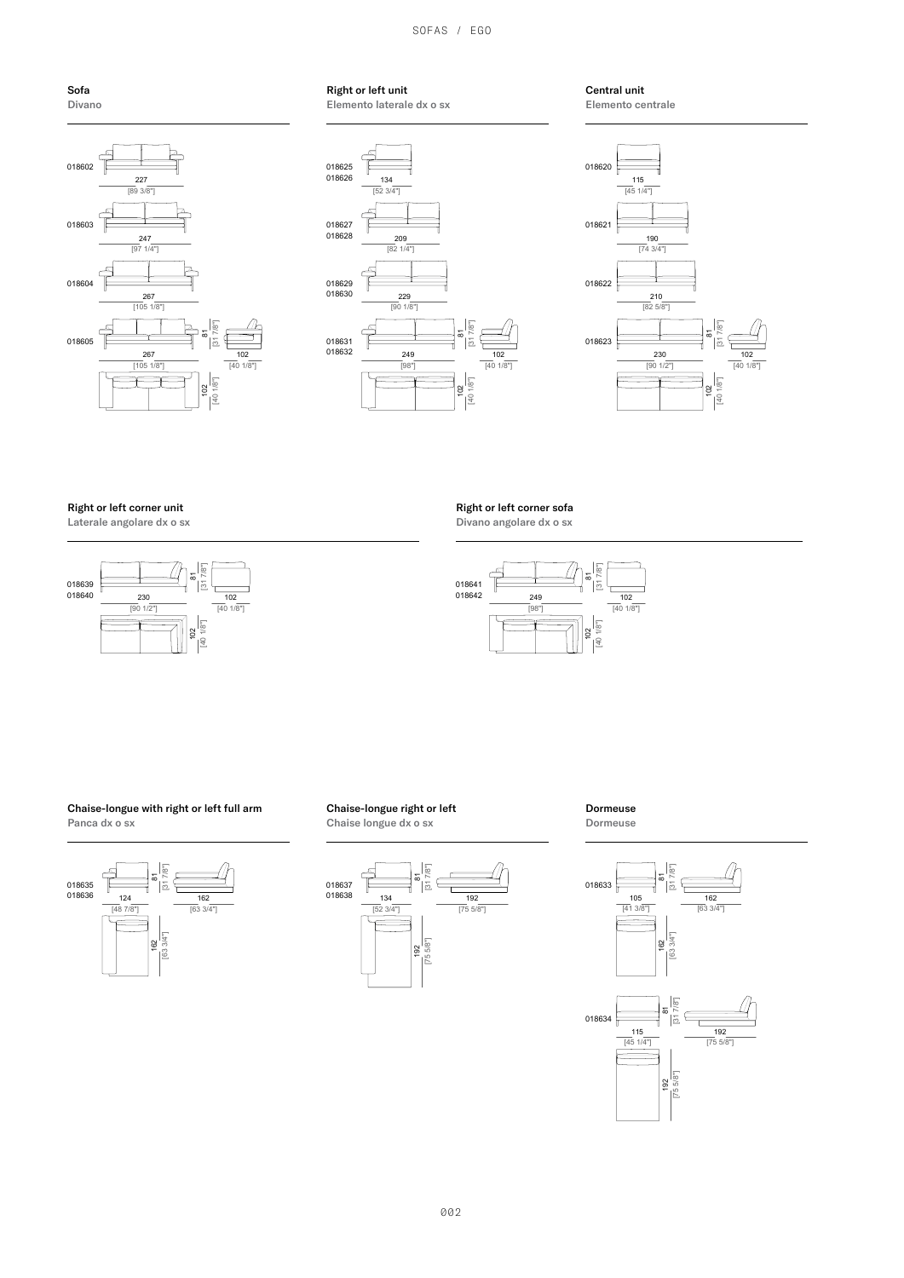SOFAS / EGO





#### Right or left unit Elemento laterale dx o sx



Central unit Elemento centrale



Right or left corner unit

Laterale angolare dx o sx



Right or left corner sofa

Divano angolare dx o sx



#### Chaise-longue with right or left full arm Panca dx o sx



Chaise-longue right or left Chaise longue dx o sx



Dormeuse Dormeuse